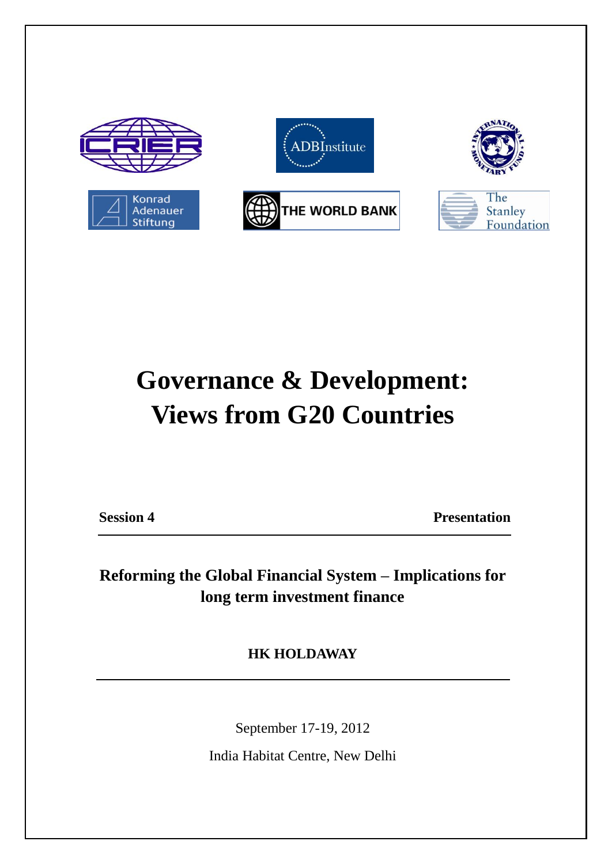

#### **Governance & Development: Views from G20 Countries**

**Session 4 Presentation** 

**Reforming the Global Financial System – Implications for long term investment finance**

**HK HOLDAWAY**

September 17-19, 2012

India Habitat Centre, New Delhi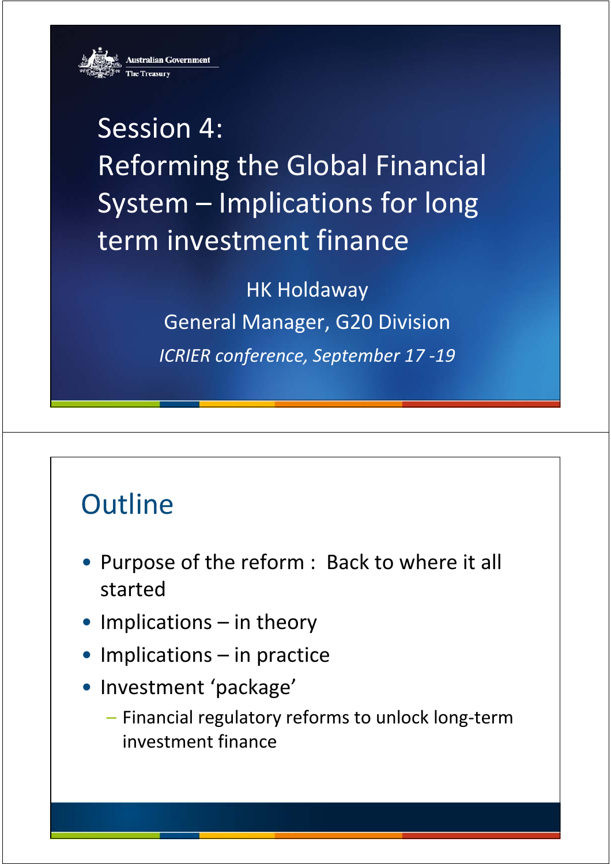**Australian Government** 



**Session 4:** Reforming the Global Financial System – Implications for long term investment finance

> **HK Holdaway** General Manager, G20 Division *ICRIER conference conference, September 17 ‐19*

#### **Outline**

- Purpose of the reform : Back to where it all started
- Implications in theory
- $\bullet$  Implications in practice
- Investment 'package'
	- Financial regulatory reforms to unlock long‐term investment finance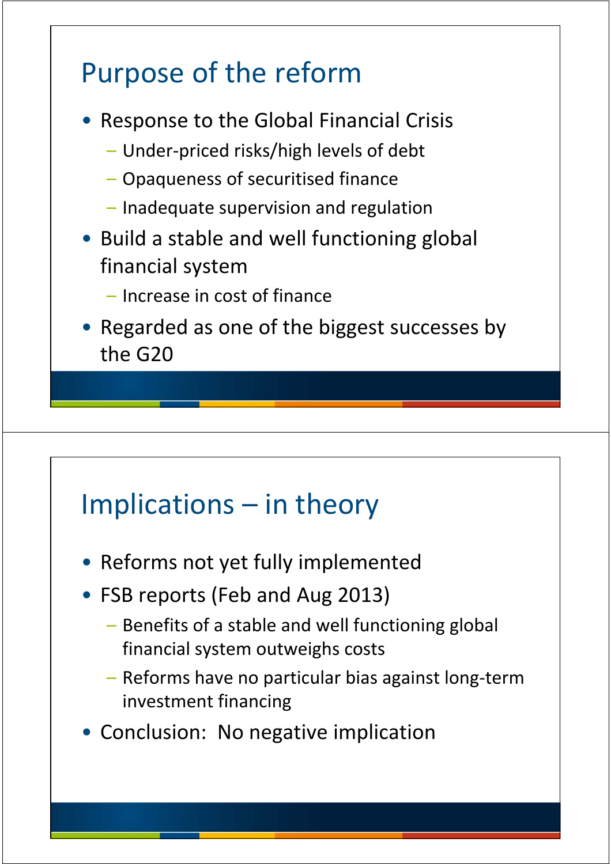# Purpose of the reform • Response to the Global Financial Crisis – Under‐priced risks/high levels of debt – Opaqueness of securitised finance – Inadequate supervision and regulation • Build a stable and well functioning global financial system – Increase in cost of finance • Regarded as one of the biggest successes by the G20

### Implications – in theory

- Reforms not yet fully implemented
- FSB reports (Feb and Aug 2013)
	- Benefits of a stable and well functioning global financial system outweighs costs
	- Reforms have no particular bias against long‐term investment financing
- Conclusion: No negative implication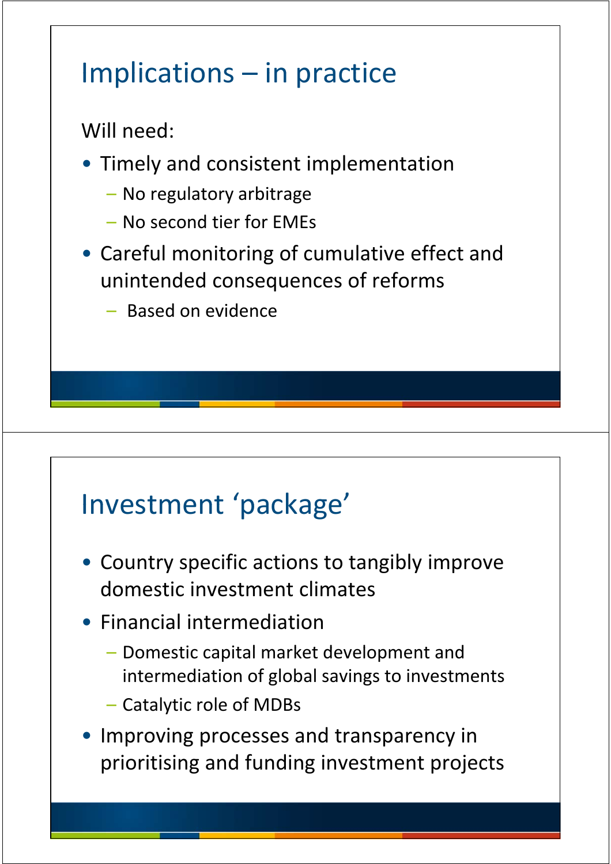### Implications – in practice

Will need:

- Timely and consistent implementation
	- No regulatory arbitrage
	- No second tier for EMEs
- Careful monitoring of cumulative effect and unintended consequences of reforms
	- Based on evidence

### Investment 'package'

- Country specific actions to tangibly improve domestic investment climates
- Financial intermediation
	- $-$  Domestic capital market development and intermediation of global savings to investments
	- Catalytic role of MDBs
- Improving processes and transparency in prioritising and funding investment projects